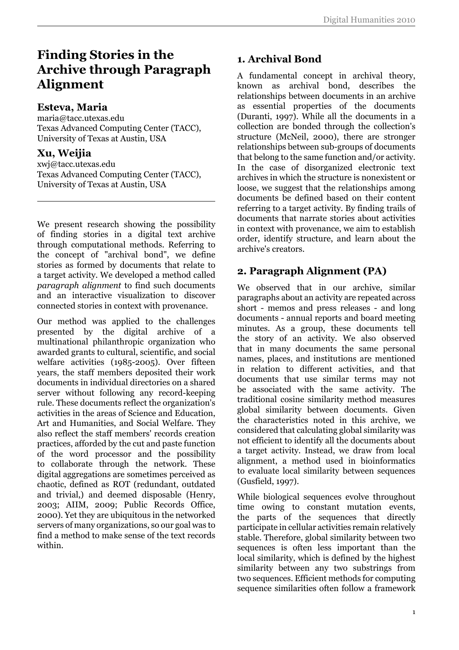# **Finding Stories in the Archive through Paragraph Alignment**

#### **Esteva, Maria**

maria@tacc.utexas.edu Texas Advanced Computing Center (TACC), University of Texas at Austin, USA

### **Xu, Weijia**

xwj@tacc.utexas.edu Texas Advanced Computing Center (TACC), University of Texas at Austin, USA

We present research showing the possibility of finding stories in a digital text archive through computational methods. Referring to the concept of "archival bond", we define stories as formed by documents that relate to a target activity. We developed a method called *paragraph alignment* to find such documents and an interactive visualization to discover connected stories in context with provenance.

Our method was applied to the challenges presented by the digital archive of a multinational philanthropic organization who awarded grants to cultural, scientific, and social welfare activities (1985-2005). Over fifteen years, the staff members deposited their work documents in individual directories on a shared server without following any record-keeping rule. These documents reflect the organization's activities in the areas of Science and Education, Art and Humanities, and Social Welfare. They also reflect the staff members' records creation practices, afforded by the cut and paste function of the word processor and the possibility to collaborate through the network. These digital aggregations are sometimes perceived as chaotic, defined as ROT (redundant, outdated and trivial,) and deemed disposable (Henry, 2003; AIIM, 2009; Public Records Office, 2000). Yet they are ubiquitous in the networked servers of many organizations, so our goal was to find a method to make sense of the text records within.

# **1. Archival Bond**

A fundamental concept in archival theory, known as archival bond, describes the relationships between documents in an archive as essential properties of the documents (Duranti, 1997). While all the documents in a collection are bonded through the collection's structure (McNeil, 2000), there are stronger relationships between sub-groups of documents that belong to the same function and/or activity. In the case of disorganized electronic text archives in which the structure is nonexistent or loose, we suggest that the relationships among documents be defined based on their content referring to a target activity. By finding trails of documents that narrate stories about activities in context with provenance, we aim to establish order, identify structure, and learn about the archive's creators.

## **2. Paragraph Alignment (PA)**

We observed that in our archive, similar paragraphs about an activity are repeated across short - memos and press releases - and long documents - annual reports and board meeting minutes. As a group, these documents tell the story of an activity. We also observed that in many documents the same personal names, places, and institutions are mentioned in relation to different activities, and that documents that use similar terms may not be associated with the same activity. The traditional cosine similarity method measures global similarity between documents. Given the characteristics noted in this archive, we considered that calculating global similarity was not efficient to identify all the documents about a target activity. Instead, we draw from local alignment, a method used in bioinformatics to evaluate local similarity between sequences (Gusfield, 1997).

While biological sequences evolve throughout time owing to constant mutation events, the parts of the sequences that directly participate in cellular activities remain relatively stable. Therefore, global similarity between two sequences is often less important than the local similarity, which is defined by the highest similarity between any two substrings from two sequences. Efficient methods for computing sequence similarities often follow a framework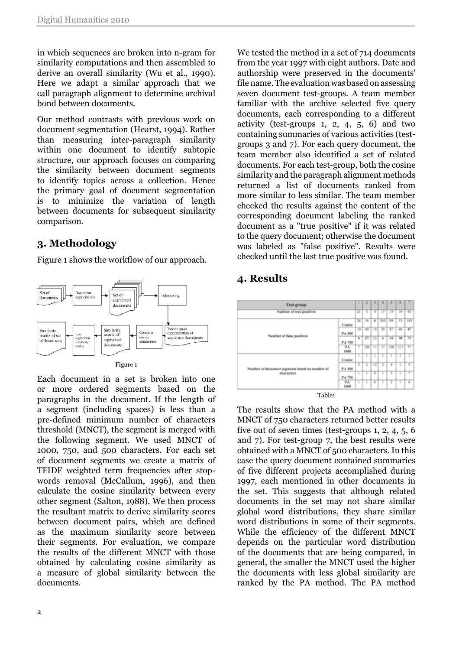in which sequences are broken into n-gram for similarity computations and then assembled to derive an overall similarity (Wu et al., 1990). Here we adapt a similar approach that we call paragraph alignment to determine archival bond between documents.

Our method contrasts with previous work on document segmentation (Hearst, 1994). Rather than measuring inter-paragraph similarity within one document to identify subtopic structure, our approach focuses on comparing the similarity between document segments to identify topics across a collection. Hence the primary goal of document segmentation is to minimize the variation of length between documents for subsequent similarity comparison.

# **3. Methodology**

Figure 1 shows the workflow of our approach.



Each document in a set is broken into one or more ordered segments based on the paragraphs in the document. If the length of a segment (including spaces) is less than a pre-defined minimum number of characters threshold (MNCT), the segment is merged with the following segment. We used MNCT of 1000, 750, and 500 characters. For each set of document segments we create a matrix of TFIDF weighted term frequencies after stopwords removal (McCallum, 1996), and then calculate the cosine similarity between every other segment (Salton, 1988). We then process the resultant matrix to derive similarity scores between document pairs, which are defined as the maximum similarity score between their segments. For evaluation, we compare the results of the different MNCT with those obtained by calculating cosine similarity as a measure of global similarity between the documents.

We tested the method in a set of 714 documents from the year 1997 with eight authors. Date and authorship were preserved in the documents' file name. The evaluation was based on assessing seven document test-groups. A team member familiar with the archive selected five query documents, each corresponding to a different activity (test-groups 1, 2, 4, 5, 6) and two containing summaries of various activities (testgroups 3 and 7). For each query document, the team member also identified a set of related documents. For each test-group, both the cosine similarity and the paragraph alignment methods returned a list of documents ranked from more similar to less similar. The team member checked the results against the content of the corresponding document labeling the ranked document as a "true positive" if it was related to the query document; otherwise the document was labeled as "false positive". Results were checked until the last true positive was found.

### **4. Results**



Table1

The results show that the PA method with a MNCT of 750 characters returned better results five out of seven times (test-groups 1, 2, 4, 5, 6 and 7). For test-group 7, the best results were obtained with a MNCT of 500 characters. In this case the query document contained summaries of five different projects accomplished during 1997, each mentioned in other documents in the set. This suggests that although related documents in the set may not share similar global word distributions, they share similar word distributions in some of their segments. While the efficiency of the different MNCT depends on the particular word distribution of the documents that are being compared, in general, the smaller the MNCT used the higher the documents with less global similarity are ranked by the PA method. The PA method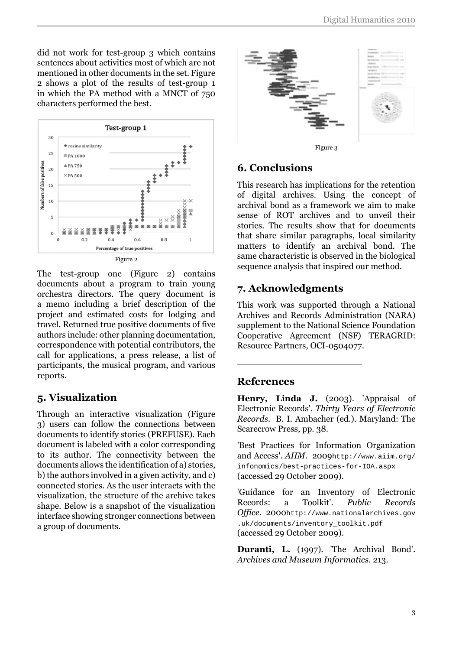did not work for test-group 3 which contains sentences about activities most of which are not mentioned in other documents in the set. Figure 2 shows a plot of the results of test-group 1 in which the PA method with a MNCT of 750 characters performed the best.



The test-group one (Figure 2) contains documents about a program to train young orchestra directors. The query document is a memo including a brief description of the project and estimated costs for lodging and travel. Returned true positive documents of five authors include: other planning documentation, correspondence with potential contributors, the call for applications, a press release, a list of participants, the musical program, and various reports.

#### **5. Visualization**

Through an interactive visualization (Figure 3) users can follow the connections between documents to identify stories (PREFUSE). Each document is labeled with a color corresponding to its author. The connectivity between the documents allows the identification of a) stories, b) the authors involved in a given activity, and c) connected stories. As the user interacts with the visualization, the structure of the archive takes shape. Below is a snapshot of the visualization interface showing stronger connections between a group of documents.



### **6. Conclusions**

This research has implications for the retention of digital archives. Using the concept of archival bond as a framework we aim to make sense of ROT archives and to unveil their stories. The results show that for documents that share similar paragraphs, local similarity matters to identify an archival bond. The same characteristic is observed in the biological sequence analysis that inspired our method.

## **7. Acknowledgments**

This work was supported through a National Archives and Records Administration (NARA) supplement to the National Science Foundation Cooperative Agreement (NSF) TERAGRID: Resource Partners, OCI-0504077.

#### **References**

**Henry, Linda J.** (2003). 'Appraisal of Electronic Records'. *Thirty Years of Electronic Records.* B. I. Ambacher (ed.). Maryland: The Scarecrow Press, pp. 38.

'Best Practices for Information Organization and Access'. *AIIM.* 2009[http://www.aiim.org/](http://www.aiim.org/infonomics/best-practices-for-IOA.aspx) [infonomics/best-practices-for-IOA.aspx](http://www.aiim.org/infonomics/best-practices-for-IOA.aspx) (accessed 29 October 2009).

'Guidance for an Inventory of Electronic Records: a Toolkit'. *Public Records Office.* 2000[http://www.nationalarchives.gov](http://www.nationalarchives.gov.uk/documents/inventory_toolkit.pdf) [.uk/documents/inventory\\_toolkit.pdf](http://www.nationalarchives.gov.uk/documents/inventory_toolkit.pdf) (accessed 29 October 2009).

**Duranti, L.** (1997). 'The Archival Bond'. *Archives and Museum Informatics.* 213.